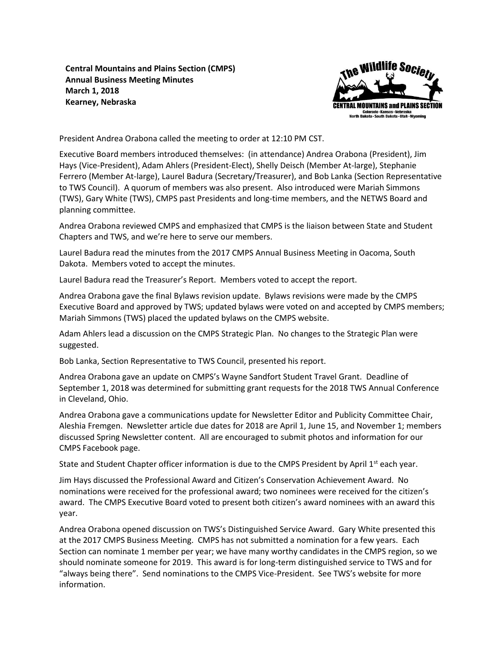**Central Mountains and Plains Section (CMPS) Annual Business Meeting Minutes March 1, 2018 Kearney, Nebraska**



President Andrea Orabona called the meeting to order at 12:10 PM CST.

Executive Board members introduced themselves: (in attendance) Andrea Orabona (President), Jim Hays (Vice-President), Adam Ahlers (President-Elect), Shelly Deisch (Member At-large), Stephanie Ferrero (Member At-large), Laurel Badura (Secretary/Treasurer), and Bob Lanka (Section Representative to TWS Council). A quorum of members was also present. Also introduced were Mariah Simmons (TWS), Gary White (TWS), CMPS past Presidents and long-time members, and the NETWS Board and planning committee.

Andrea Orabona reviewed CMPS and emphasized that CMPS is the liaison between State and Student Chapters and TWS, and we're here to serve our members.

Laurel Badura read the minutes from the 2017 CMPS Annual Business Meeting in Oacoma, South Dakota. Members voted to accept the minutes.

Laurel Badura read the Treasurer's Report. Members voted to accept the report.

Andrea Orabona gave the final Bylaws revision update. Bylaws revisions were made by the CMPS Executive Board and approved by TWS; updated bylaws were voted on and accepted by CMPS members; Mariah Simmons (TWS) placed the updated bylaws on the CMPS website.

Adam Ahlers lead a discussion on the CMPS Strategic Plan. No changes to the Strategic Plan were suggested.

Bob Lanka, Section Representative to TWS Council, presented his report.

Andrea Orabona gave an update on CMPS's Wayne Sandfort Student Travel Grant. Deadline of September 1, 2018 was determined for submitting grant requests for the 2018 TWS Annual Conference in Cleveland, Ohio.

Andrea Orabona gave a communications update for Newsletter Editor and Publicity Committee Chair, Aleshia Fremgen. Newsletter article due dates for 2018 are April 1, June 15, and November 1; members discussed Spring Newsletter content. All are encouraged to submit photos and information for our CMPS Facebook page.

State and Student Chapter officer information is due to the CMPS President by April 1<sup>st</sup> each year.

Jim Hays discussed the Professional Award and Citizen's Conservation Achievement Award. No nominations were received for the professional award; two nominees were received for the citizen's award. The CMPS Executive Board voted to present both citizen's award nominees with an award this year.

Andrea Orabona opened discussion on TWS's Distinguished Service Award. Gary White presented this at the 2017 CMPS Business Meeting. CMPS has not submitted a nomination for a few years. Each Section can nominate 1 member per year; we have many worthy candidates in the CMPS region, so we should nominate someone for 2019. This award is for long-term distinguished service to TWS and for "always being there". Send nominations to the CMPS Vice-President. See TWS's website for more information.